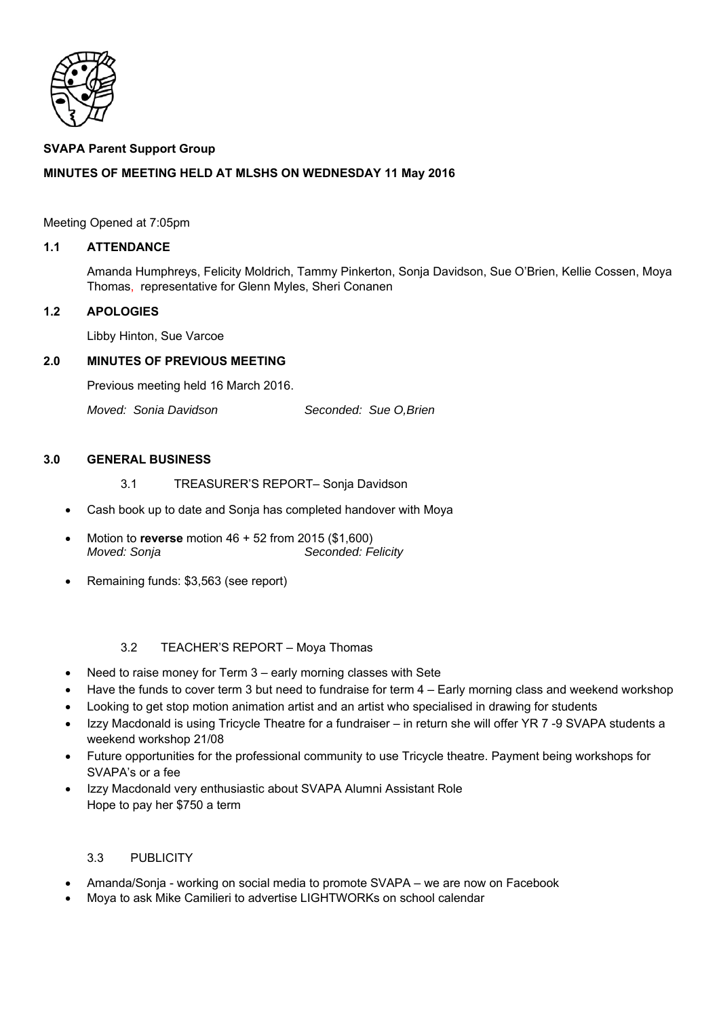

## **SVAPA Parent Support Group**

# **MINUTES OF MEETING HELD AT MLSHS ON WEDNESDAY 11 May 2016**

### Meeting Opened at 7:05pm

## **1.1 ATTENDANCE**

Amanda Humphreys, Felicity Moldrich, Tammy Pinkerton, Sonja Davidson, Sue O'Brien, Kellie Cossen, Moya Thomas, representative for Glenn Myles, Sheri Conanen

### **1.2 APOLOGIES**

Libby Hinton, Sue Varcoe

### **2.0 MINUTES OF PREVIOUS MEETING**

Previous meeting held 16 March 2016.

*Moved: Sonia Davidson* Seconded: Sue O.Brien

#### **3.0 GENERAL BUSINESS**

- 3.1 TREASURER'S REPORT– Sonja Davidson
- Cash book up to date and Sonja has completed handover with Moya
- Motion to **reverse** motion 46 + 52 from 2015 (\$1,600) *Moved: Sonja* Seconded: Felicity
- Remaining funds: \$3,563 (see report)

## 3.2 TEACHER'S REPORT – Moya Thomas

- Need to raise money for Term 3 early morning classes with Sete
- Have the funds to cover term 3 but need to fundraise for term 4 Early morning class and weekend workshop
- Looking to get stop motion animation artist and an artist who specialised in drawing for students
- Izzy Macdonald is using Tricycle Theatre for a fundraiser in return she will offer YR 7 -9 SVAPA students a weekend workshop 21/08
- Future opportunities for the professional community to use Tricycle theatre. Payment being workshops for SVAPA's or a fee
- Izzy Macdonald very enthusiastic about SVAPA Alumni Assistant Role Hope to pay her \$750 a term

#### 3.3 PUBLICITY

- Amanda/Sonja working on social media to promote SVAPA we are now on Facebook
- Moya to ask Mike Camilieri to advertise LIGHTWORKs on school calendar